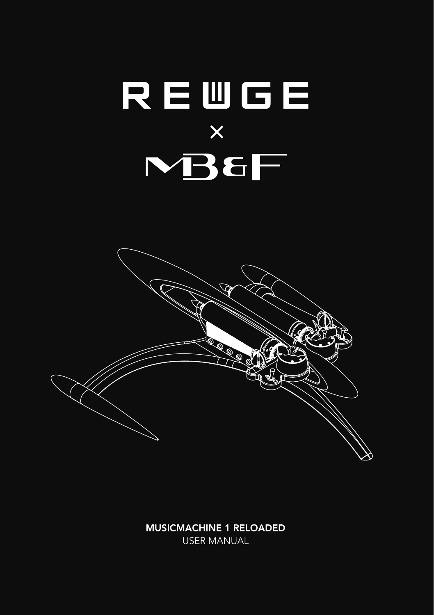

**MUSICMACHINE 1 RELOADED USER MANUAL**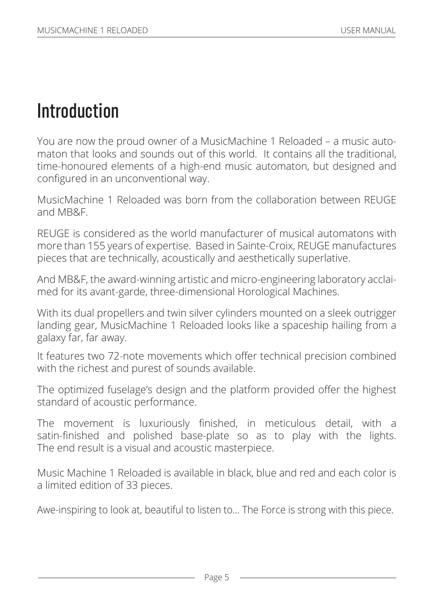# **Introduction**

You are now the proud owner of a MusicMachine 1 Reloaded – a music automaton that looks and sounds out of this world. It contains all the traditional, time-honoured elements of a high-end music automaton, but designed and configured in an unconventional way.

MusicMachine 1 Reloaded was born from the collaboration between REUGE and MB&F.

REUGE is considered as the world manufacturer of musical automatons with more than 155 years of expertise. Based in Sainte-Croix, REUGE manufactures pieces that are technically, acoustically and aesthetically superlative.

And MB&F, the award-winning artistic and micro-engineering laboratory acclaimed for its avant-garde, three-dimensional Horological Machines.

With its dual propellers and twin silver cylinders mounted on a sleek outrigger landing gear, MusicMachine 1 Reloaded looks like a spaceship hailing from a galaxy far, far away.

It features two 72-note movements which offer technical precision combined with the richest and purest of sounds available.

The optimized fuselage's design and the platform provided offer the highest standard of acoustic performance.

The movement is luxuriously finished, in meticulous detail, with a satin-finished and polished base-plate so as to play with the lights. The end result is a visual and acoustic masterpiece.

Music Machine 1 Reloaded is available in black, blue and red and each color is a limited edition of 33 pieces.

Awe-inspiring to look at, beautiful to listen to… The Force is strong with this piece.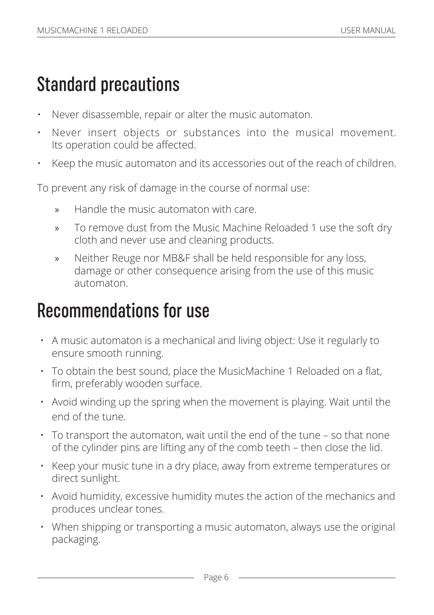# Standard precautions

- Never disassemble, repair or alter the music automaton.
- Never insert objects or substances into the musical movement. Its operation could be affected.
- Keep the music automaton and its accessories out of the reach of children.

To prevent any risk of damage in the course of normal use:

- » Handle the music automaton with care.
- » To remove dust from the Music Machine Reloaded 1 use the soft dry cloth and never use and cleaning products.
- » Neither Reuge nor MB&F shall be held responsible for any loss, damage or other consequence arising from the use of this music automaton.

### Recommendations for use

- A music automaton is a mechanical and living object: Use it regularly to ensure smooth running.
- To obtain the best sound, place the MusicMachine 1 Reloaded on a flat, firm, preferably wooden surface.
- Avoid winding up the spring when the movement is playing. Wait until the end of the tune.
- To transport the automaton, wait until the end of the tune so that none of the cylinder pins are lifting any of the comb teeth – then close the lid.
- Keep your music tune in a dry place, away from extreme temperatures or direct sunlight.
- Avoid humidity, excessive humidity mutes the action of the mechanics and produces unclear tones.
- When shipping or transporting a music automaton, always use the original packaging.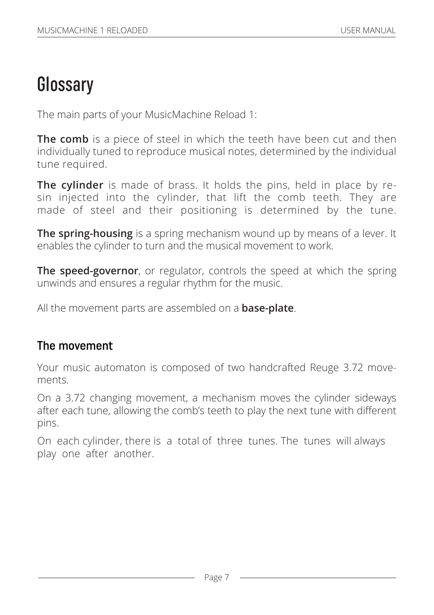## **Glossary**

The main parts of your MusicMachine Reload 1:

**The comb** is a piece of steel in which the teeth have been cut and then individually tuned to reproduce musical notes, determined by the individual tune required.

**The cylinder** is made of brass. It holds the pins, held in place by resin injected into the cylinder, that lift the comb teeth. They are made of steel and their positioning is determined by the tune.

**The spring-housing** is a spring mechanism wound up by means of a lever. It enables the cylinder to turn and the musical movement to work.

**The speed-governor**, or regulator, controls the speed at which the spring unwinds and ensures a regular rhythm for the music.

All the movement parts are assembled on a **base-plate**.

#### The movement

Your music automaton is composed of two handcrafted Reuge 3.72 movements.

On a 3.72 changing movement, a mechanism moves the cylinder sideways after each tune, allowing the comb's teeth to play the next tune with different pins.

On each cylinder, there is a total of three tunes. The tunes will always play one after another.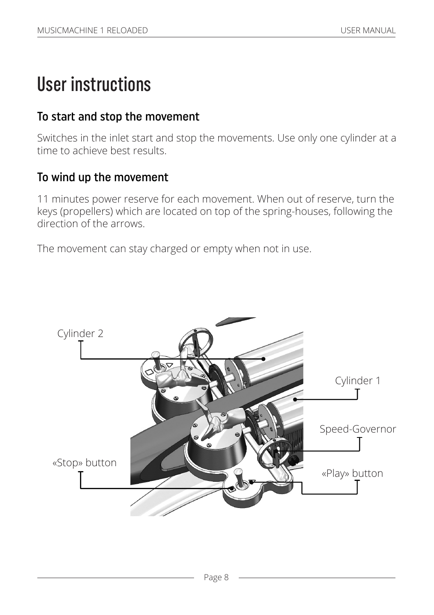## User instructions

#### To start and stop the movement

Switches in the inlet start and stop the movements. Use only one cylinder at a time to achieve best results.

#### To wind up the movement

11 minutes power reserve for each movement. When out of reserve, turn the keys (propellers) which are located on top of the spring-houses, following the direction of the arrows.

The movement can stay charged or empty when not in use.

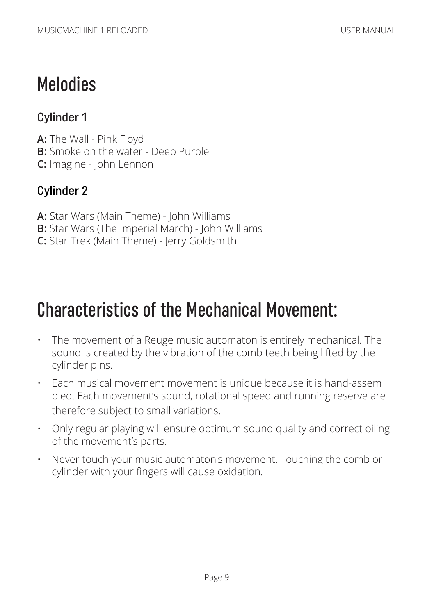# Melodies

### Cylinder 1

**A:** The Wall - Pink Floyd **B:** Smoke on the water - Deep Purple **C:** Imagine - John Lennon

### Cylinder 2

- **A:** Star Wars (Main Theme) John Williams
- **B:** Star Wars (The Imperial March) John Williams
- **C:** Star Trek (Main Theme) Jerry Goldsmith

# Characteristics of the Mechanical Movement:

- The movement of a Reuge music automaton is entirely mechanical. The sound is created by the vibration of the comb teeth being lifted by the cylinder pins.
- Each musical movement movement is unique because it is hand-assem bled. Each movement's sound, rotational speed and running reserve are therefore subject to small variations.
- Only regular playing will ensure optimum sound quality and correct oiling of the movement's parts.
- Never touch your music automaton's movement. Touching the comb or cylinder with your fingers will cause oxidation.